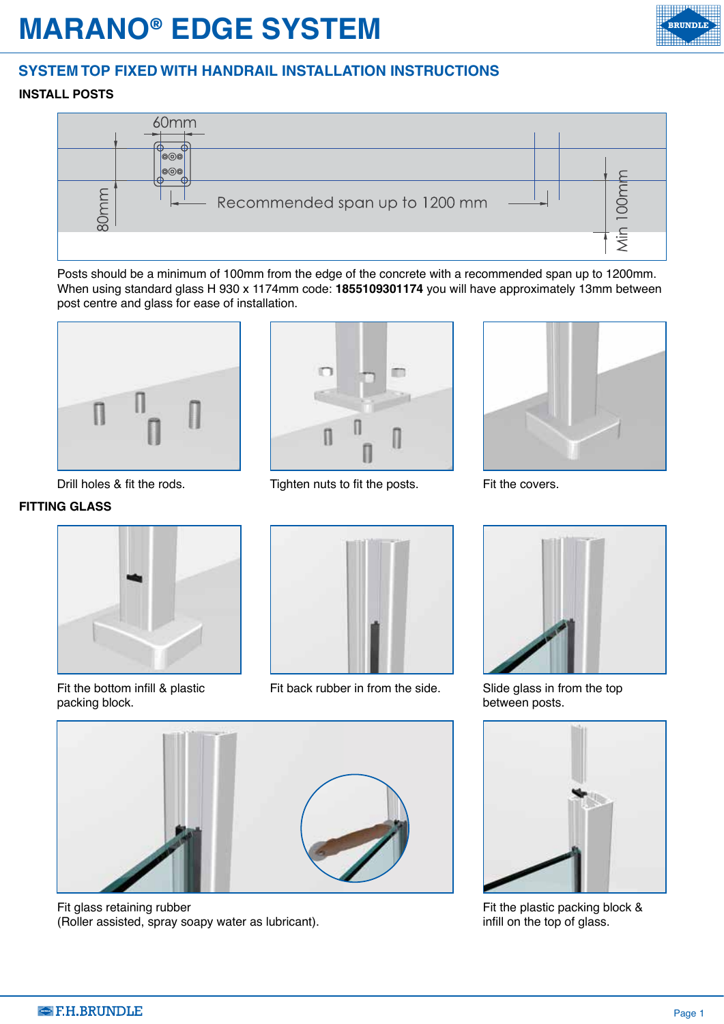## **MARANO® EDGE SYSTEM**

## **SYSTEM TOP FIXED WITH HANDRAIL INSTALLATION INSTRUCTIONS**

## **INSTALL POSTS**



Posts should be a minimum of 100mm from the edge of the concrete with a recommended span up to 1200mm. When using standard glass H 930 x 1174mm code: **1855109301174** you will have approximately 13mm between post centre and glass for ease of installation.



Drill holes & fit the rods.

## **FITTING GLASS**



Fit the bottom infill & plastic packing block.



Tighten nuts to fit the posts.



Fit the covers.



Fit back rubber in from the side.



Slide glass in from the top between posts.



Fit the plastic packing block & infill on the top of glass.



Fit glass retaining rubber (Roller assisted, spray soapy water as lubricant).